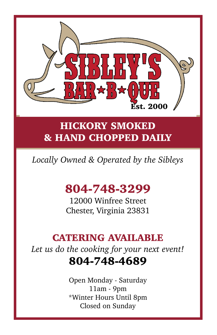

# **HICKORY SMOKED & HAND CHOPPED DAILY**

# *Locally Owned & Operated by the Sibleys*

# **804-748-3299**

12000 Winfree Street Chester, Virginia 23831

## **CATERING AVAILABLE**

*Let us do the cooking for your next event!* **804-748-4689**

> Open Monday - Saturday 11am - 9pm \*Winter Hours Until 8pm Closed on Sunday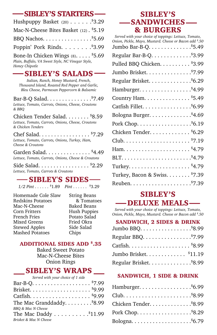#### **SIBLEY'S STARTERS**  $\mathfrak{so}$  on

| Hushpuppy Basket $(20)$ <sup>\$</sup> 3.29                                                               |
|----------------------------------------------------------------------------------------------------------|
| Mac-N-Cheese Bites Basket (12). \$5.19                                                                   |
| BBQ Nachos. \$5.69                                                                                       |
| Poppin' Pork Rinds. \$3.99                                                                               |
| Bone-In Chicken Wings (8). \$5.69<br>Plain, Buffalo, VA Sweet Style, NC Vinegar Style,<br>Honey Chipotle |

### **SIBLEY'S SALADS**

*Italian, Ranch, Honey Mustard, French, Thousand Island, Roasted Red Pepper and Garlic, Bleu Cheese, Parmesan Peppercorn & Balsamic*

Bar-B-Q Salad. . . . . . . . . . . . . . .\$7.49 *Lettuce, Tomato, Carrots, Onions, Cheese, Croutons & BBQ*

Chicken Tender Salad. . . . . . . . \$8.59 *Lettuce, Tomato, Carrots, Onions, Cheese, Croutons & Chicken Tenders*

Chef Salad. . . . . . . . . . . . . . . . . \$7.29 *Lettuce, Tomato, Carrots, Onions, Turkey, Ham, Cheese & Croutons*

Garden Salad. . . . . . . . . . . . . . . \$4.49 *Lettuce, Tomato, Carrots, Onions, Cheese & Croutons*

Side Salad. . . . . . . . . . . . . . . . \$2.29 *Lettuce, Tomato, Carrots & Croutons*

### -SIBLEY'S SIDES-

*1/2 Pint . . . . . .* \$1.89 *Pint . . . . . .* \$3.29

Homemade Cole Slaw Redskins Potatoes Mac-N-Cheese Corn Fritters French Fries Mixed Greens Stewed Apples Mashed Potatoes

String Beans & Tomatoes Baked Beans Hush Puppies Potato Salad Fried Okra Side Salad Chips

#### **ADDITIONAL SIDES ADD \$ .35**

Baked Sweet Potato Mac-N-Cheese Bites Onion Rings

## **SIBLEY'S WRAPS**

| The Mac Granddaddy. \$8.99 |
|----------------------------|
|                            |
| The Mac Daddy \$11.99      |
|                            |
|                            |

## **SIBLEY'S SANDWICHES & BURGERS**

## **SIBLEY'S -DELUXE MEALS-**

*Served with your choice of toppings: Lettuce, Tomato, Onion, Pickle, Mayo, Mustard. Cheese or Bacon add \$ .50*

#### **SANDWICH, 2 SIDES & DRINK**

| Jumbo BBQ. \$8.99       |  |
|-------------------------|--|
| Regular BBQ. \$7.99     |  |
|                         |  |
| Jumbo Brisket. \$11.19  |  |
| Regular Brisket. \$8.99 |  |

#### **SANDWICH, 1 SIDE & DRINK**

| Hamburger. \$6.99      |  |
|------------------------|--|
|                        |  |
| Chicken Tender. \$8.99 |  |
| Pork Chop. \$8.29      |  |
|                        |  |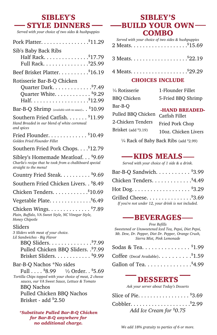## **SIBLEY'S STYLE DINNERS**

*Served with your choice of two sides & hushpuppies*

| Pork Platter. \$11.29                                                                                                                                                                                                                                      |
|------------------------------------------------------------------------------------------------------------------------------------------------------------------------------------------------------------------------------------------------------------|
| Sib's Baby Back Ribs<br>Half Rack. \$17.79<br>Full Rack. \$25.99                                                                                                                                                                                           |
| Beef Brisket Platter. \$16.19                                                                                                                                                                                                                              |
| Rotisserie Bar-B-Q Chicken<br>Quarter Dark. \$7.49<br>Quarter White. \$9.29                                                                                                                                                                                |
| Bar-B-Q Shrimp (available with no sauce). $.$ \$10.99                                                                                                                                                                                                      |
| Southern Fried Catfish. \$11.99<br>Hand Breaded in our blend of white cornmeal<br>and spices                                                                                                                                                               |
| Fried Flounder. \$10.49<br>Golden Fried Flounder Fillet                                                                                                                                                                                                    |
| Southern Fried Pork Chops. \$12.79                                                                                                                                                                                                                         |
| Sibley's Homemade Meatloaf. \$9.69<br>Charlie's recipe that he took from a chalkboard special<br>straight to the menu!                                                                                                                                     |
| Country Fried Steak. \$9.69                                                                                                                                                                                                                                |
| Southern Fried Chicken Livers. . \$8.49                                                                                                                                                                                                                    |
| Chicken Tenders. \$10.69                                                                                                                                                                                                                                   |
|                                                                                                                                                                                                                                                            |
| Chicken Wings. \$7.89<br>Plain, Buffalo, VA Sweet Style, NC Vinegar Style,<br>Honey Chipotle                                                                                                                                                               |
| Sliders<br>3 Sliders with meat of your choice.<br>Lil Sandwiches - Big Flavor<br>andwiches - Big Flavor<br>BBQ Sliders. <sup>\$</sup> 7.99<br>Pulled Chicken BBQ Sliders. . \$7.99<br>Brisket Sliders. \$9.99                                              |
| Bar-B-Q Nachos *No sides<br>Full $$8.99 \quad \frac{1}{2}$ Order. . $$5.69$<br>Tortilla Chips topped with your choice of meat, 2 cheese<br>sauces, our VA Sweet Sauce, Lettuce & Tomato<br>BBO Nachos<br>Pulled Chicken BBQ Nachos<br>Brisket - add \$2.50 |

*\*Substitute Pulled Bar-B-Q Chicken for Bar-B-Q anywhere for no additional charge.*

## **SIBLEY'S BUILD YOUR OWN-COMBO**

| Served with your choice of two sides & hushpuppies |
|----------------------------------------------------|
|                                                    |
|                                                    |

#### **CHOICES INCLUDE**

| 1/4 Rotisserie       | 1-Flounder Fillet    |
|----------------------|----------------------|
| <b>BBO</b> Chicken   | 5-Fried BBQ Shrimp   |
| Bar-B-O              | -HAND BREADED-       |
| Pulled BBO Chicken   | Catfish Fillet       |
| 2-Chicken Tenders    | Fried Pork Chop      |
| Brisket (add \$3.19) | 10oz. Chicken Livers |

<sup>1/4</sup> Rack of Baby Back Ribs (add \$2.99)

## **KIDS MEALS**

*Served with your choice of 1 side & a drink.*

| Bar-B-Q Sandwich. \$3.99                            |  |
|-----------------------------------------------------|--|
| Chicken Tenders. \$4.49                             |  |
| Hot Dog. \$3.29                                     |  |
| Grilled Cheese. \$3.69                              |  |
| If you're not under 12, your drink is not included. |  |

## **BEVERAGES**

*Free Refills Sweetened or Unsweetened Iced Tea, Pepsi, Diet Pepsi, Mt. Dew, Dr. Pepper, Diet Dr. Pepper, Orange Crush, Sierra Mist, Pink Lemonade*

| Sodas & Tea. \$1.99              |  |
|----------------------------------|--|
| Coffee (Decaf Available). \$1.59 |  |
| Gallon of Tea. \$4.99            |  |

## **DESSERTS**

*Ask your server about Today's Desserts*

| Slice of Pie. \$3.69     |  |
|--------------------------|--|
|                          |  |
| Add Ice Cream for \$0.75 |  |

*We add 18% gratuity to parties of 6 or more.*